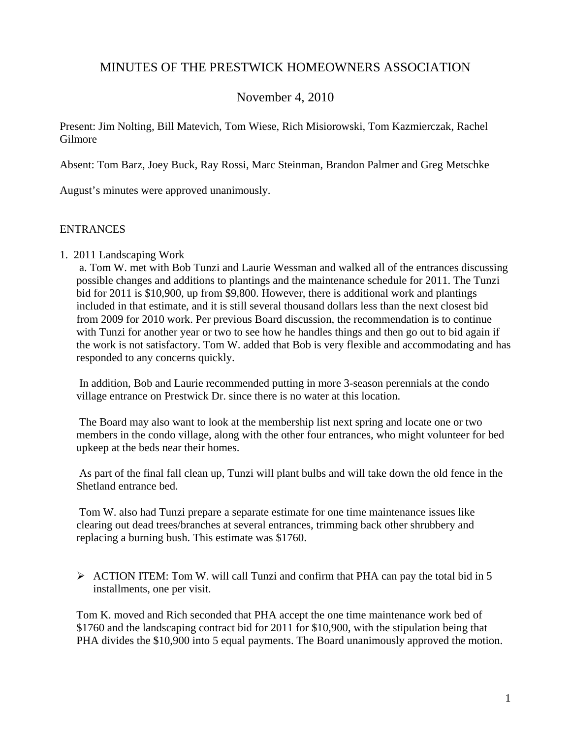# MINUTES OF THE PRESTWICK HOMEOWNERS ASSOCIATION

# November 4, 2010

Present: Jim Nolting, Bill Matevich, Tom Wiese, Rich Misiorowski, Tom Kazmierczak, Rachel Gilmore

Absent: Tom Barz, Joey Buck, Ray Rossi, Marc Steinman, Brandon Palmer and Greg Metschke

August's minutes were approved unanimously.

### **ENTRANCES**

1. 2011 Landscaping Work

a. Tom W. met with Bob Tunzi and Laurie Wessman and walked all of the entrances discussing possible changes and additions to plantings and the maintenance schedule for 2011. The Tunzi bid for 2011 is \$10,900, up from \$9,800. However, there is additional work and plantings included in that estimate, and it is still several thousand dollars less than the next closest bid from 2009 for 2010 work. Per previous Board discussion, the recommendation is to continue with Tunzi for another year or two to see how he handles things and then go out to bid again if the work is not satisfactory. Tom W. added that Bob is very flexible and accommodating and has responded to any concerns quickly.

In addition, Bob and Laurie recommended putting in more 3-season perennials at the condo village entrance on Prestwick Dr. since there is no water at this location.

The Board may also want to look at the membership list next spring and locate one or two members in the condo village, along with the other four entrances, who might volunteer for bed upkeep at the beds near their homes.

As part of the final fall clean up, Tunzi will plant bulbs and will take down the old fence in the Shetland entrance bed.

Tom W. also had Tunzi prepare a separate estimate for one time maintenance issues like clearing out dead trees/branches at several entrances, trimming back other shrubbery and replacing a burning bush. This estimate was \$1760.

 $\triangleright$  ACTION ITEM: Tom W. will call Tunzi and confirm that PHA can pay the total bid in 5 installments, one per visit.

Tom K. moved and Rich seconded that PHA accept the one time maintenance work bed of \$1760 and the landscaping contract bid for 2011 for \$10,900, with the stipulation being that PHA divides the \$10,900 into 5 equal payments. The Board unanimously approved the motion.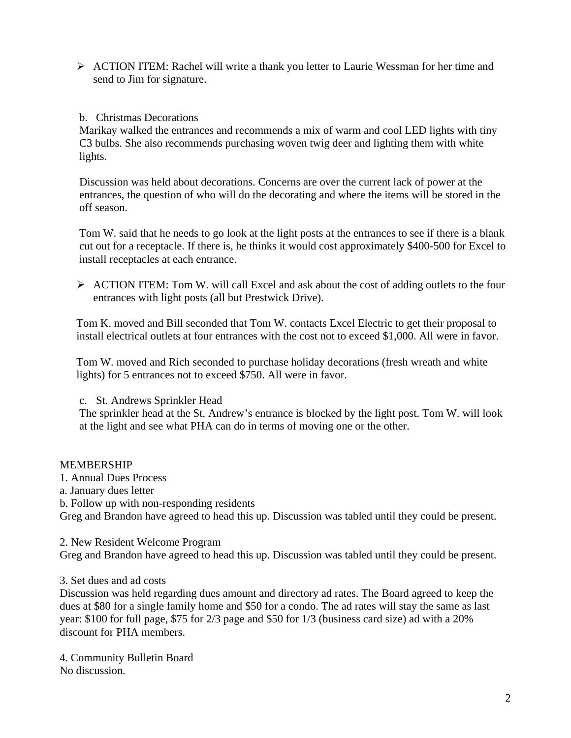¾ ACTION ITEM: Rachel will write a thank you letter to Laurie Wessman for her time and send to Jim for signature.

# b. Christmas Decorations

Marikay walked the entrances and recommends a mix of warm and cool LED lights with tiny C3 bulbs. She also recommends purchasing woven twig deer and lighting them with white lights.

Discussion was held about decorations. Concerns are over the current lack of power at the entrances, the question of who will do the decorating and where the items will be stored in the off season.

Tom W. said that he needs to go look at the light posts at the entrances to see if there is a blank cut out for a receptacle. If there is, he thinks it would cost approximately \$400-500 for Excel to install receptacles at each entrance.

¾ ACTION ITEM: Tom W. will call Excel and ask about the cost of adding outlets to the four entrances with light posts (all but Prestwick Drive).

Tom K. moved and Bill seconded that Tom W. contacts Excel Electric to get their proposal to install electrical outlets at four entrances with the cost not to exceed \$1,000. All were in favor.

Tom W. moved and Rich seconded to purchase holiday decorations (fresh wreath and white lights) for 5 entrances not to exceed \$750. All were in favor.

c. St. Andrews Sprinkler Head

The sprinkler head at the St. Andrew's entrance is blocked by the light post. Tom W. will look at the light and see what PHA can do in terms of moving one or the other.

#### **MEMBERSHIP**

- 1. Annual Dues Process
- a. January dues letter
- b. Follow up with non-responding residents

Greg and Brandon have agreed to head this up. Discussion was tabled until they could be present.

2. New Resident Welcome Program

Greg and Brandon have agreed to head this up. Discussion was tabled until they could be present.

#### 3. Set dues and ad costs

Discussion was held regarding dues amount and directory ad rates. The Board agreed to keep the dues at \$80 for a single family home and \$50 for a condo. The ad rates will stay the same as last year: \$100 for full page, \$75 for 2/3 page and \$50 for 1/3 (business card size) ad with a 20% discount for PHA members.

4. Community Bulletin Board No discussion.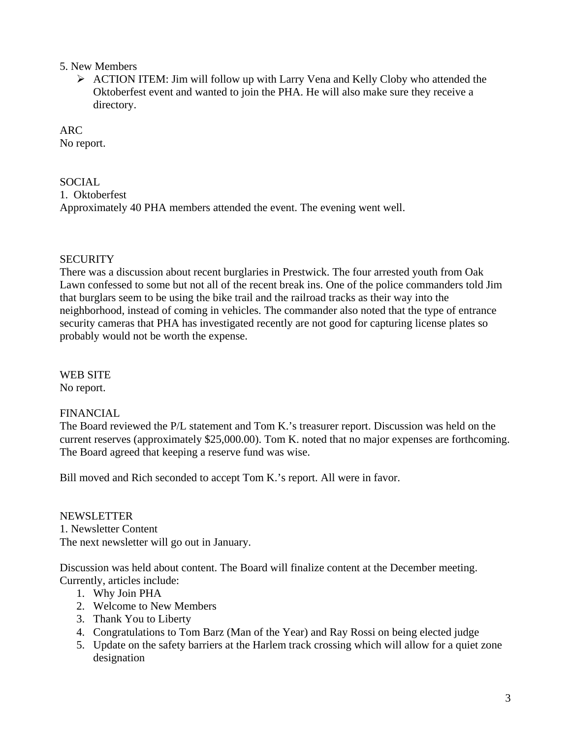# 5. New Members

¾ ACTION ITEM: Jim will follow up with Larry Vena and Kelly Cloby who attended the Oktoberfest event and wanted to join the PHA. He will also make sure they receive a directory.

ARC No report.

# **SOCIAL**

1. Oktoberfest Approximately 40 PHA members attended the event. The evening went well.

# **SECURITY**

There was a discussion about recent burglaries in Prestwick. The four arrested youth from Oak Lawn confessed to some but not all of the recent break ins. One of the police commanders told Jim that burglars seem to be using the bike trail and the railroad tracks as their way into the neighborhood, instead of coming in vehicles. The commander also noted that the type of entrance security cameras that PHA has investigated recently are not good for capturing license plates so probably would not be worth the expense.

WEB SITE No report.

# FINANCIAL

The Board reviewed the P/L statement and Tom K.'s treasurer report. Discussion was held on the current reserves (approximately \$25,000.00). Tom K. noted that no major expenses are forthcoming. The Board agreed that keeping a reserve fund was wise.

Bill moved and Rich seconded to accept Tom K.'s report. All were in favor.

# NEWSLETTER

1. Newsletter Content The next newsletter will go out in January.

Discussion was held about content. The Board will finalize content at the December meeting. Currently, articles include:

- 1. Why Join PHA
- 2. Welcome to New Members
- 3. Thank You to Liberty
- 4. Congratulations to Tom Barz (Man of the Year) and Ray Rossi on being elected judge
- 5. Update on the safety barriers at the Harlem track crossing which will allow for a quiet zone designation